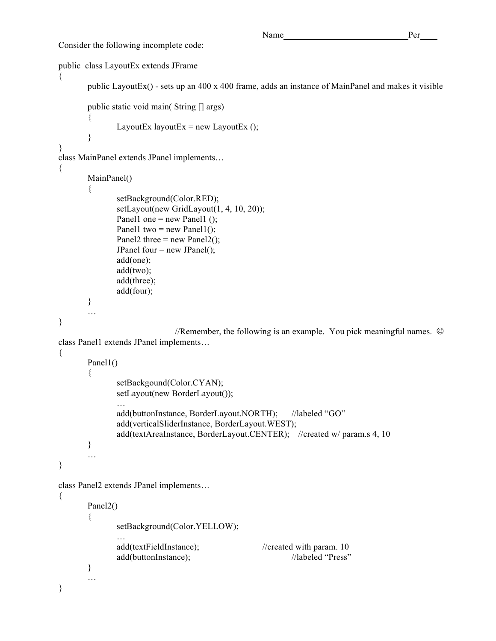Consider the following incomplete code:

```
public class LayoutEx extends JFrame
{
       public LayoutEx() - sets up an 400 x 400 frame, adds an instance of MainPanel and makes it visible
       public static void main( String [] args)
       \{LayoutEx layoutEx = new LayoutEx ();
       }
}
class MainPanel extends JPanel implements…
{
       MainPanel()
       {
               setBackground(Color.RED);
               setLayout(new GridLayout(1, 4, 10, 20));
               Panel1 one = new Panel1 ();
               Panel1 two = new Panel1();
               Panel2 three = new Panel2();
               JPanel four = new JPanel();
              add(one);
               add(two);
              add(three);
               add(four);
       }
       …
}
                             //Remember, the following is an example. You pick meaningful names. \odotclass Panel1 extends JPanel implements…
{
       Panel1()
       {
              setBackgound(Color.CYAN);
              setLayout(new BorderLayout());
               …
               add(buttonInstance, BorderLayout.NORTH); //labeled "GO"
               add(verticalSliderInstance, BorderLayout.WEST);
               add(textAreaInstance, BorderLayout.CENTER); //created w/ param.s 4, 10
       }
       …
}
class Panel2 extends JPanel implements… 
{
       Panel<sub>2</sub>()
       {
               setBackground(Color.YELLOW);
               …
               add(textFieldInstance); //created with param. 10
               add(buttonInstance); //labeled "Press"
       }
       …
}
```